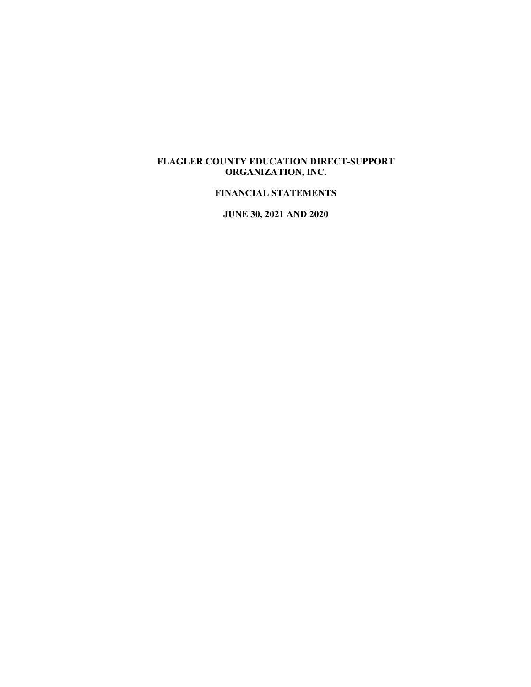# **FLAGLER COUNTY EDUCATION DIRECT-SUPPORT ORGANIZATION, INC.**

# **FINANCIAL STATEMENTS**

**JUNE 30, 2021 AND 2020**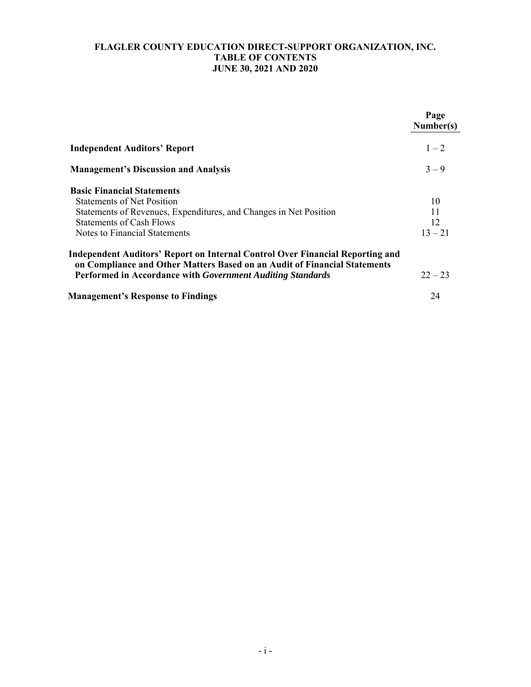# **FLAGLER COUNTY EDUCATION DIRECT-SUPPORT ORGANIZATION, INC. TABLE OF CONTENTS JUNE 30, 2021 AND 2020**

|                                                                                                                                                                   | Page<br>Number(s) |
|-------------------------------------------------------------------------------------------------------------------------------------------------------------------|-------------------|
| <b>Independent Auditors' Report</b>                                                                                                                               | $1 - 2$           |
| <b>Management's Discussion and Analysis</b>                                                                                                                       | $3 - 9$           |
| <b>Basic Financial Statements</b>                                                                                                                                 |                   |
| <b>Statements of Net Position</b>                                                                                                                                 | 10                |
| Statements of Revenues, Expenditures, and Changes in Net Position                                                                                                 | 11                |
| <b>Statements of Cash Flows</b>                                                                                                                                   | 12                |
| Notes to Financial Statements                                                                                                                                     | $13 - 21$         |
| <b>Independent Auditors' Report on Internal Control Over Financial Reporting and</b><br>on Compliance and Other Matters Based on an Audit of Financial Statements |                   |
| Performed in Accordance with Government Auditing Standards                                                                                                        | $22 - 23$         |
| <b>Management's Response to Findings</b>                                                                                                                          | 24                |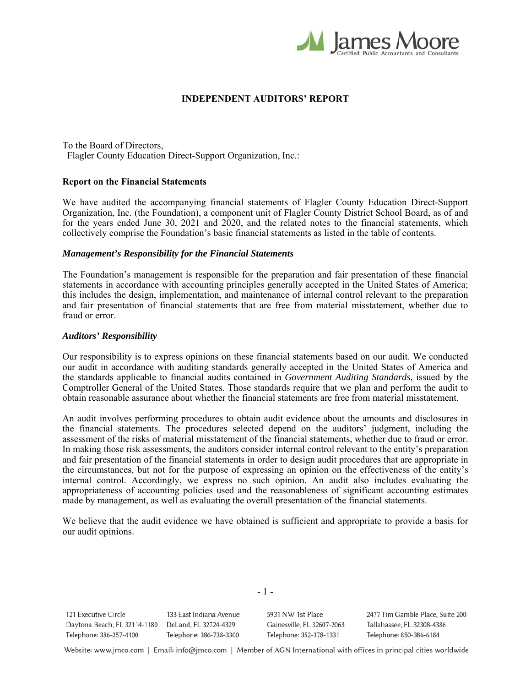

## **INDEPENDENT AUDITORS' REPORT**

To the Board of Directors, Flagler County Education Direct-Support Organization, Inc.:

#### **Report on the Financial Statements**

We have audited the accompanying financial statements of Flagler County Education Direct-Support Organization, Inc. (the Foundation), a component unit of Flagler County District School Board, as of and for the years ended June 30, 2021 and 2020, and the related notes to the financial statements, which collectively comprise the Foundation's basic financial statements as listed in the table of contents.

#### *Management's Responsibility for the Financial Statements*

The Foundation's management is responsible for the preparation and fair presentation of these financial statements in accordance with accounting principles generally accepted in the United States of America; this includes the design, implementation, and maintenance of internal control relevant to the preparation and fair presentation of financial statements that are free from material misstatement, whether due to fraud or error.

#### *Auditors' Responsibility*

Our responsibility is to express opinions on these financial statements based on our audit. We conducted our audit in accordance with auditing standards generally accepted in the United States of America and the standards applicable to financial audits contained in *Government Auditing Standards*, issued by the Comptroller General of the United States. Those standards require that we plan and perform the audit to obtain reasonable assurance about whether the financial statements are free from material misstatement.

An audit involves performing procedures to obtain audit evidence about the amounts and disclosures in the financial statements. The procedures selected depend on the auditors' judgment, including the assessment of the risks of material misstatement of the financial statements, whether due to fraud or error. In making those risk assessments, the auditors consider internal control relevant to the entity's preparation and fair presentation of the financial statements in order to design audit procedures that are appropriate in the circumstances, but not for the purpose of expressing an opinion on the effectiveness of the entity's internal control. Accordingly, we express no such opinion. An audit also includes evaluating the appropriateness of accounting policies used and the reasonableness of significant accounting estimates made by management, as well as evaluating the overall presentation of the financial statements.

We believe that the audit evidence we have obtained is sufficient and appropriate to provide a basis for our audit opinions.

- 1 -

121 Executive Circle 133 East Indiana Avenue Daytona Beach, FL 32114-1180 DeLand, FL 32724-4329 Telephone: 386-257-4100 Telephone: 386-738-3300

5931 NW 1st Place Gainesville, FL 32607-2063 Telephone: 352-378-1331

2477 Tim Gamble Place, Suite 200 Tallahassee, FL 32308-4386 Telephone: 850-386-6184

Website: www.jmco.com | Email: info@jmco.com | Member of AGN International with offices in principal cities worldwide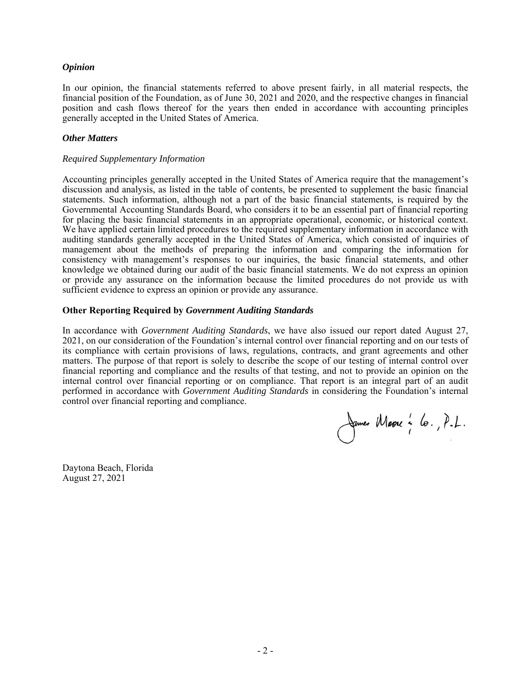#### *Opinion*

In our opinion, the financial statements referred to above present fairly, in all material respects, the financial position of the Foundation, as of June 30, 2021 and 2020, and the respective changes in financial position and cash flows thereof for the years then ended in accordance with accounting principles generally accepted in the United States of America.

#### *Other Matters*

#### *Required Supplementary Information*

Accounting principles generally accepted in the United States of America require that the management's discussion and analysis, as listed in the table of contents, be presented to supplement the basic financial statements. Such information, although not a part of the basic financial statements, is required by the Governmental Accounting Standards Board, who considers it to be an essential part of financial reporting for placing the basic financial statements in an appropriate operational, economic, or historical context. We have applied certain limited procedures to the required supplementary information in accordance with auditing standards generally accepted in the United States of America, which consisted of inquiries of management about the methods of preparing the information and comparing the information for consistency with management's responses to our inquiries, the basic financial statements, and other knowledge we obtained during our audit of the basic financial statements. We do not express an opinion or provide any assurance on the information because the limited procedures do not provide us with sufficient evidence to express an opinion or provide any assurance.

# **Other Reporting Required by** *Government Auditing Standards*

In accordance with *Government Auditing Standards*, we have also issued our report dated August 27, 2021, on our consideration of the Foundation's internal control over financial reporting and on our tests of its compliance with certain provisions of laws, regulations, contracts, and grant agreements and other matters. The purpose of that report is solely to describe the scope of our testing of internal control over financial reporting and compliance and the results of that testing, and not to provide an opinion on the internal control over financial reporting or on compliance. That report is an integral part of an audit performed in accordance with *Government Auditing Standards* in considering the Foundation's internal control over financial reporting and compliance.

James Marre : lo., P.L.

Daytona Beach, Florida August 27, 2021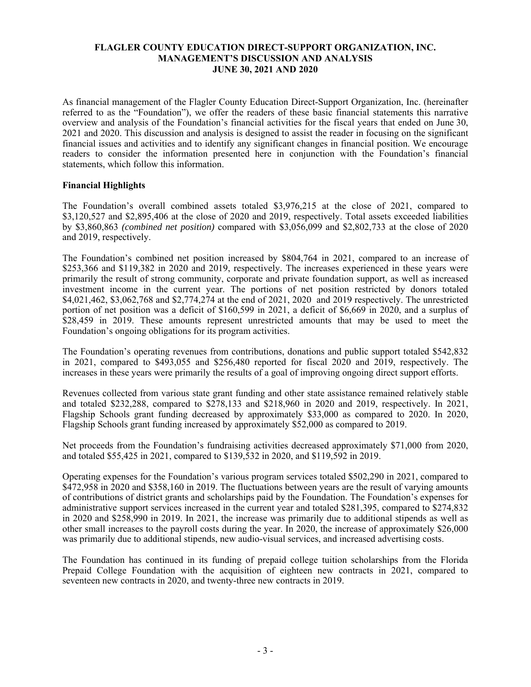As financial management of the Flagler County Education Direct-Support Organization, Inc. (hereinafter referred to as the "Foundation"), we offer the readers of these basic financial statements this narrative overview and analysis of the Foundation's financial activities for the fiscal years that ended on June 30, 2021 and 2020. This discussion and analysis is designed to assist the reader in focusing on the significant financial issues and activities and to identify any significant changes in financial position. We encourage readers to consider the information presented here in conjunction with the Foundation's financial statements, which follow this information.

# **Financial Highlights**

The Foundation's overall combined assets totaled \$3,976,215 at the close of 2021, compared to \$3,120,527 and \$2,895,406 at the close of 2020 and 2019, respectively. Total assets exceeded liabilities by \$3,860,863 *(combined net position)* compared with \$3,056,099 and \$2,802,733 at the close of 2020 and 2019, respectively.

The Foundation's combined net position increased by \$804,764 in 2021, compared to an increase of \$253,366 and \$119,382 in 2020 and 2019, respectively. The increases experienced in these years were primarily the result of strong community, corporate and private foundation support, as well as increased investment income in the current year. The portions of net position restricted by donors totaled \$4,021,462, \$3,062,768 and \$2,774,274 at the end of 2021, 2020 and 2019 respectively. The unrestricted portion of net position was a deficit of \$160,599 in 2021, a deficit of \$6,669 in 2020, and a surplus of \$28,459 in 2019. These amounts represent unrestricted amounts that may be used to meet the Foundation's ongoing obligations for its program activities.

The Foundation's operating revenues from contributions, donations and public support totaled \$542,832 in 2021, compared to \$493,055 and \$256,480 reported for fiscal 2020 and 2019, respectively. The increases in these years were primarily the results of a goal of improving ongoing direct support efforts.

Revenues collected from various state grant funding and other state assistance remained relatively stable and totaled \$232,288, compared to \$278,133 and \$218,960 in 2020 and 2019, respectively. In 2021, Flagship Schools grant funding decreased by approximately \$33,000 as compared to 2020. In 2020, Flagship Schools grant funding increased by approximately \$52,000 as compared to 2019.

Net proceeds from the Foundation's fundraising activities decreased approximately \$71,000 from 2020, and totaled \$55,425 in 2021, compared to \$139,532 in 2020, and \$119,592 in 2019.

Operating expenses for the Foundation's various program services totaled \$502,290 in 2021, compared to \$472,958 in 2020 and \$358,160 in 2019. The fluctuations between years are the result of varying amounts of contributions of district grants and scholarships paid by the Foundation. The Foundation's expenses for administrative support services increased in the current year and totaled \$281,395, compared to \$274,832 in 2020 and \$258,990 in 2019. In 2021, the increase was primarily due to additional stipends as well as other small increases to the payroll costs during the year. In 2020, the increase of approximately \$26,000 was primarily due to additional stipends, new audio-visual services, and increased advertising costs.

The Foundation has continued in its funding of prepaid college tuition scholarships from the Florida Prepaid College Foundation with the acquisition of eighteen new contracts in 2021, compared to seventeen new contracts in 2020, and twenty-three new contracts in 2019.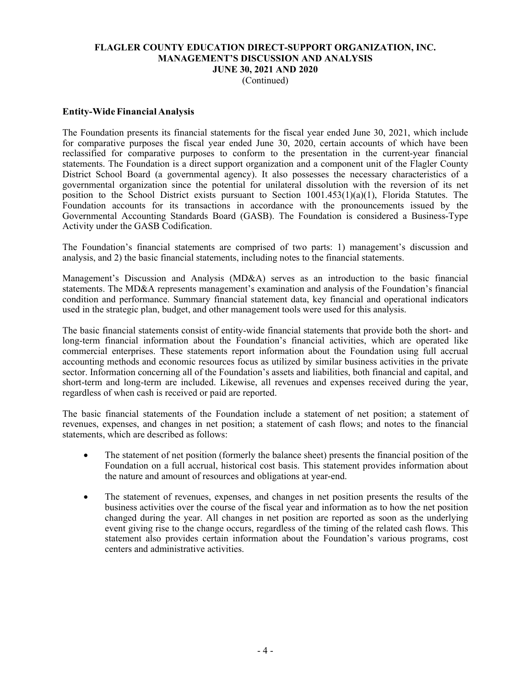(Continued)

#### **Entity-Wide Financial Analysis**

The Foundation presents its financial statements for the fiscal year ended June 30, 2021, which include for comparative purposes the fiscal year ended June 30, 2020, certain accounts of which have been reclassified for comparative purposes to conform to the presentation in the current-year financial statements. The Foundation is a direct support organization and a component unit of the Flagler County District School Board (a governmental agency). It also possesses the necessary characteristics of a governmental organization since the potential for unilateral dissolution with the reversion of its net position to the School District exists pursuant to Section 1001.453(1)(a)(1), Florida Statutes. The Foundation accounts for its transactions in accordance with the pronouncements issued by the Governmental Accounting Standards Board (GASB). The Foundation is considered a Business-Type Activity under the GASB Codification.

The Foundation's financial statements are comprised of two parts: 1) management's discussion and analysis, and 2) the basic financial statements, including notes to the financial statements.

Management's Discussion and Analysis (MD&A) serves as an introduction to the basic financial statements. The MD&A represents management's examination and analysis of the Foundation's financial condition and performance. Summary financial statement data, key financial and operational indicators used in the strategic plan, budget, and other management tools were used for this analysis.

The basic financial statements consist of entity-wide financial statements that provide both the short- and long-term financial information about the Foundation's financial activities, which are operated like commercial enterprises. These statements report information about the Foundation using full accrual accounting methods and economic resources focus as utilized by similar business activities in the private sector. Information concerning all of the Foundation's assets and liabilities, both financial and capital, and short-term and long-term are included. Likewise, all revenues and expenses received during the year, regardless of when cash is received or paid are reported.

The basic financial statements of the Foundation include a statement of net position; a statement of revenues, expenses, and changes in net position; a statement of cash flows; and notes to the financial statements, which are described as follows:

- The statement of net position (formerly the balance sheet) presents the financial position of the Foundation on a full accrual, historical cost basis. This statement provides information about the nature and amount of resources and obligations at year-end.
- The statement of revenues, expenses, and changes in net position presents the results of the business activities over the course of the fiscal year and information as to how the net position changed during the year. All changes in net position are reported as soon as the underlying event giving rise to the change occurs, regardless of the timing of the related cash flows. This statement also provides certain information about the Foundation's various programs, cost centers and administrative activities.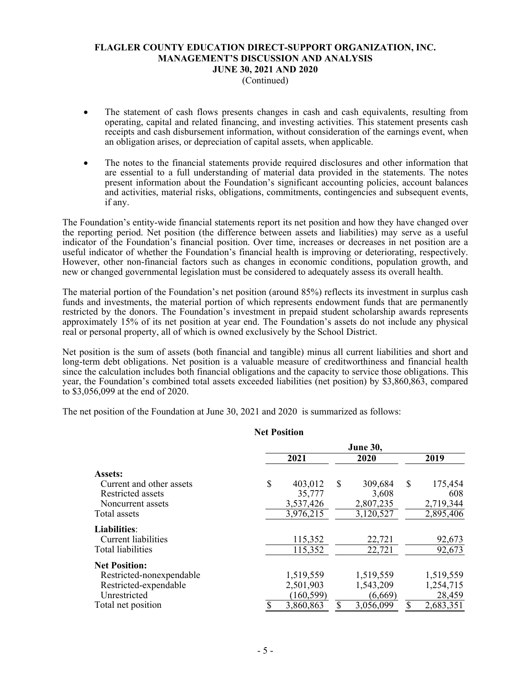(Continued)

- The statement of cash flows presents changes in cash and cash equivalents, resulting from operating, capital and related financing, and investing activities. This statement presents cash receipts and cash disbursement information, without consideration of the earnings event, when an obligation arises, or depreciation of capital assets, when applicable.
- The notes to the financial statements provide required disclosures and other information that are essential to a full understanding of material data provided in the statements. The notes present information about the Foundation's significant accounting policies, account balances and activities, material risks, obligations, commitments, contingencies and subsequent events, if any.

The Foundation's entity-wide financial statements report its net position and how they have changed over the reporting period. Net position (the difference between assets and liabilities) may serve as a useful indicator of the Foundation's financial position. Over time, increases or decreases in net position are a useful indicator of whether the Foundation's financial health is improving or deteriorating, respectively. However, other non-financial factors such as changes in economic conditions, population growth, and new or changed governmental legislation must be considered to adequately assess its overall health.

The material portion of the Foundation's net position (around 85%) reflects its investment in surplus cash funds and investments, the material portion of which represents endowment funds that are permanently restricted by the donors. The Foundation's investment in prepaid student scholarship awards represents approximately 15% of its net position at year end. The Foundation's assets do not include any physical real or personal property, all of which is owned exclusively by the School District.

Net position is the sum of assets (both financial and tangible) minus all current liabilities and short and long-term debt obligations. Net position is a valuable measure of creditworthiness and financial health since the calculation includes both financial obligations and the capacity to service those obligations. This year, the Foundation's combined total assets exceeded liabilities (net position) by \$3,860,863, compared to \$3,056,099 at the end of 2020.

The net position of the Foundation at June 30, 2021 and 2020 is summarized as follows:

|                          | <b>June 30,</b> |          |           |    |           |  |  |
|--------------------------|-----------------|----------|-----------|----|-----------|--|--|
|                          | 2021            |          | 2020      |    | 2019      |  |  |
| Assets:                  |                 |          |           |    |           |  |  |
| Current and other assets | \$<br>403,012   | <b>S</b> | 309,684   | \$ | 175,454   |  |  |
| Restricted assets        | 35,777          |          | 3,608     |    | 608       |  |  |
| Noncurrent assets        | 3,537,426       |          | 2,807,235 |    | 2,719,344 |  |  |
| Total assets             | 3,976,215       |          | 3,120,527 |    | 2,895,406 |  |  |
| <b>Liabilities:</b>      |                 |          |           |    |           |  |  |
| Current liabilities      | 115,352         |          | 22,721    |    | 92,673    |  |  |
| <b>Total liabilities</b> | 115,352         |          | 22,721    |    | 92,673    |  |  |
| <b>Net Position:</b>     |                 |          |           |    |           |  |  |
| Restricted-nonexpendable | 1,519,559       |          | 1,519,559 |    | 1,519,559 |  |  |
| Restricted-expendable    | 2,501,903       |          | 1,543,209 |    | 1,254,715 |  |  |
| Unrestricted             | (160, 599)      |          | (6,669)   |    | 28,459    |  |  |
| Total net position       | 3,860,863       |          | 3,056,099 |    | 2,683,351 |  |  |

#### **Net Position**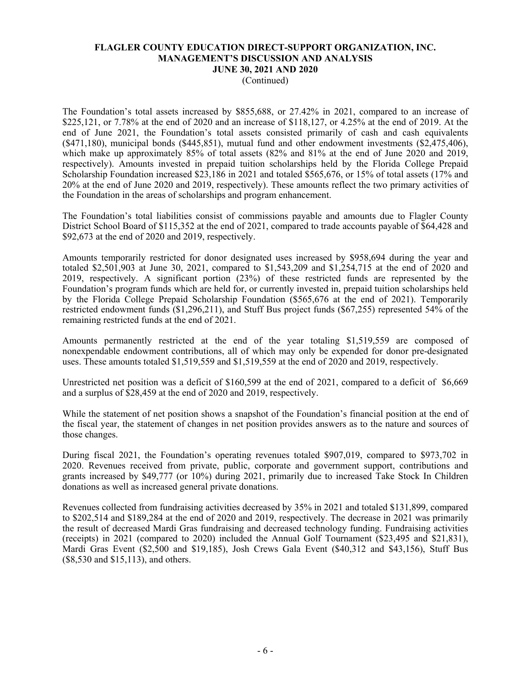(Continued)

The Foundation's total assets increased by \$855,688, or 27.42% in 2021, compared to an increase of \$225,121, or 7.78% at the end of 2020 and an increase of \$118,127, or 4.25% at the end of 2019. At the end of June 2021, the Foundation's total assets consisted primarily of cash and cash equivalents (\$471,180), municipal bonds (\$445,851), mutual fund and other endowment investments (\$2,475,406), which make up approximately 85% of total assets (82% and 81% at the end of June 2020 and 2019, respectively). Amounts invested in prepaid tuition scholarships held by the Florida College Prepaid Scholarship Foundation increased \$23,186 in 2021 and totaled \$565,676, or 15% of total assets (17% and 20% at the end of June 2020 and 2019, respectively). These amounts reflect the two primary activities of the Foundation in the areas of scholarships and program enhancement.

The Foundation's total liabilities consist of commissions payable and amounts due to Flagler County District School Board of \$115,352 at the end of 2021, compared to trade accounts payable of \$64,428 and \$92,673 at the end of 2020 and 2019, respectively.

Amounts temporarily restricted for donor designated uses increased by \$958,694 during the year and totaled \$2,501,903 at June 30, 2021, compared to \$1,543,209 and \$1,254,715 at the end of 2020 and 2019, respectively. A significant portion (23%) of these restricted funds are represented by the Foundation's program funds which are held for, or currently invested in, prepaid tuition scholarships held by the Florida College Prepaid Scholarship Foundation (\$565,676 at the end of 2021). Temporarily restricted endowment funds (\$1,296,211), and Stuff Bus project funds (\$67,255) represented 54% of the remaining restricted funds at the end of 2021.

Amounts permanently restricted at the end of the year totaling \$1,519,559 are composed of nonexpendable endowment contributions, all of which may only be expended for donor pre-designated uses. These amounts totaled \$1,519,559 and \$1,519,559 at the end of 2020 and 2019, respectively.

Unrestricted net position was a deficit of \$160,599 at the end of 2021, compared to a deficit of \$6,669 and a surplus of \$28,459 at the end of 2020 and 2019, respectively.

While the statement of net position shows a snapshot of the Foundation's financial position at the end of the fiscal year, the statement of changes in net position provides answers as to the nature and sources of those changes.

During fiscal 2021, the Foundation's operating revenues totaled \$907,019, compared to \$973,702 in 2020. Revenues received from private, public, corporate and government support, contributions and grants increased by \$49,777 (or 10%) during 2021, primarily due to increased Take Stock In Children donations as well as increased general private donations.

Revenues collected from fundraising activities decreased by 35% in 2021 and totaled \$131,899, compared to \$202,514 and \$189,284 at the end of 2020 and 2019, respectively. The decrease in 2021 was primarily the result of decreased Mardi Gras fundraising and decreased technology funding. Fundraising activities (receipts) in 2021 (compared to 2020) included the Annual Golf Tournament (\$23,495 and \$21,831), Mardi Gras Event (\$2,500 and \$19,185), Josh Crews Gala Event (\$40,312 and \$43,156), Stuff Bus (\$8,530 and \$15,113), and others.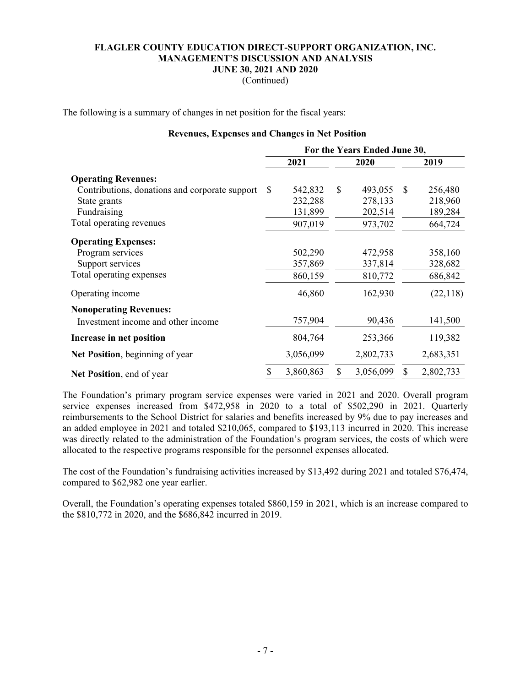(Continued)

The following is a summary of changes in net position for the fiscal years:

# **Revenues, Expenses and Changes in Net Position**

|                                                | For the Years Ended June 30, |           |    |           |               |           |  |
|------------------------------------------------|------------------------------|-----------|----|-----------|---------------|-----------|--|
|                                                |                              | 2021      |    | 2020      |               | 2019      |  |
| <b>Operating Revenues:</b>                     |                              |           |    |           |               |           |  |
| Contributions, donations and corporate support | <sup>\$</sup>                | 542,832   | \$ | 493,055   | <sup>\$</sup> | 256,480   |  |
| State grants                                   |                              | 232,288   |    | 278,133   |               | 218,960   |  |
| Fundraising                                    |                              | 131,899   |    | 202,514   |               | 189,284   |  |
| Total operating revenues                       |                              | 907,019   |    | 973,702   |               | 664,724   |  |
| <b>Operating Expenses:</b>                     |                              |           |    |           |               |           |  |
| Program services                               |                              | 502,290   |    | 472,958   |               | 358,160   |  |
| Support services                               |                              | 357,869   |    | 337,814   |               | 328,682   |  |
| Total operating expenses                       |                              | 860,159   |    | 810,772   |               | 686,842   |  |
| Operating income                               |                              | 46,860    |    | 162,930   |               | (22,118)  |  |
| <b>Nonoperating Revenues:</b>                  |                              |           |    |           |               |           |  |
| Investment income and other income             |                              | 757,904   |    | 90,436    |               | 141,500   |  |
| Increase in net position                       |                              | 804,764   |    | 253,366   |               | 119,382   |  |
| Net Position, beginning of year                |                              | 3,056,099 |    | 2,802,733 |               | 2,683,351 |  |
| Net Position, end of year                      | \$                           | 3,860,863 | \$ | 3,056,099 | S             | 2,802,733 |  |

The Foundation's primary program service expenses were varied in 2021 and 2020. Overall program service expenses increased from \$472,958 in 2020 to a total of \$502,290 in 2021. Quarterly reimbursements to the School District for salaries and benefits increased by 9% due to pay increases and an added employee in 2021 and totaled \$210,065, compared to \$193,113 incurred in 2020. This increase was directly related to the administration of the Foundation's program services, the costs of which were allocated to the respective programs responsible for the personnel expenses allocated.

The cost of the Foundation's fundraising activities increased by \$13,492 during 2021 and totaled \$76,474, compared to \$62,982 one year earlier.

Overall, the Foundation's operating expenses totaled \$860,159 in 2021, which is an increase compared to the \$810,772 in 2020, and the \$686,842 incurred in 2019.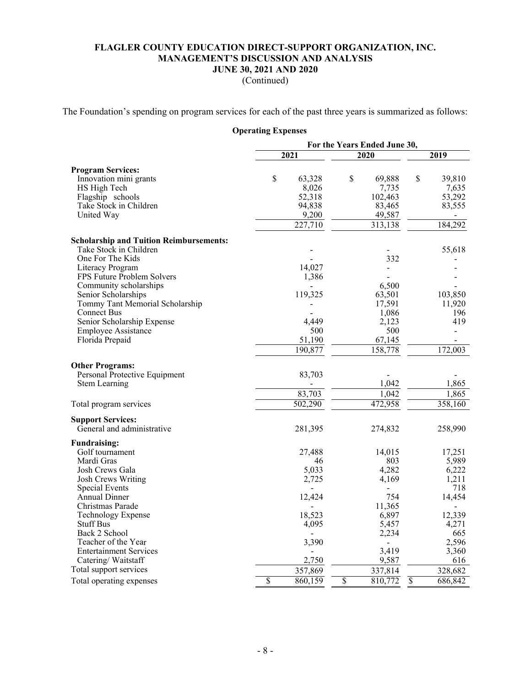(Continued)

The Foundation's spending on program services for each of the past three years is summarized as follows:

# **Operating Expenses**

|                                                                                                                                                                                                                                                                                                                                         | For the Years Ended June 30,                                                             |                                                                                                                            |                                                                                                                  |  |  |
|-----------------------------------------------------------------------------------------------------------------------------------------------------------------------------------------------------------------------------------------------------------------------------------------------------------------------------------------|------------------------------------------------------------------------------------------|----------------------------------------------------------------------------------------------------------------------------|------------------------------------------------------------------------------------------------------------------|--|--|
|                                                                                                                                                                                                                                                                                                                                         | 2021                                                                                     | 2020                                                                                                                       | 2019                                                                                                             |  |  |
| <b>Program Services:</b><br>Innovation mini grants<br>HS High Tech<br>Flagship schools<br>Take Stock in Children<br>United Way                                                                                                                                                                                                          | \$<br>63,328<br>8,026<br>52,318<br>94,838<br>9,200<br>227,710                            | \$<br>69,888<br>7,735<br>102,463<br>83,465<br>49,587<br>313,138                                                            | \$<br>39,810<br>7,635<br>53,292<br>83,555<br>$\blacksquare$<br>184,292                                           |  |  |
| <b>Scholarship and Tuition Reimbursements:</b><br>Take Stock in Children<br>One For The Kids<br>Literacy Program<br>FPS Future Problem Solvers<br>Community scholarships<br>Senior Scholarships<br>Tommy Tant Memorial Scholarship<br><b>Connect Bus</b><br>Senior Scholarship Expense<br><b>Employee Assistance</b><br>Florida Prepaid | 14,027<br>1,386<br>L.<br>119,325<br>4.449<br>500<br>51,190<br>190,877                    | $\overline{a}$<br>332<br>$\overline{a}$<br>6,500<br>63,501<br>17,591<br>1,086<br>2,123<br>500<br>67,145<br>158,778         | 55,618<br>103,850<br>11,920<br>196<br>419<br>$\blacksquare$<br>$\overline{\phantom{a}}$<br>172,003               |  |  |
| <b>Other Programs:</b><br>Personal Protective Equipment<br><b>Stem Learning</b>                                                                                                                                                                                                                                                         | 83,703<br>83,703                                                                         | 1,042<br>1,042                                                                                                             | 1,865<br>1,865                                                                                                   |  |  |
| Total program services                                                                                                                                                                                                                                                                                                                  | 502,290                                                                                  | 472,958                                                                                                                    | 358,160                                                                                                          |  |  |
| <b>Support Services:</b><br>General and administrative                                                                                                                                                                                                                                                                                  | 281,395                                                                                  | 274,832                                                                                                                    | 258,990                                                                                                          |  |  |
| <b>Fundraising:</b><br>Golf tournament<br>Mardi Gras<br>Josh Crews Gala<br>Josh Crews Writing<br>Special Events<br><b>Annual Dinner</b><br>Christmas Parade<br><b>Technology Expense</b><br><b>Stuff Bus</b><br>Back 2 School<br>Teacher of the Year<br><b>Entertainment Services</b><br>Catering/Waitstaff<br>Total support services   | 27,488<br>46<br>5,033<br>2,725<br>12,424<br>18,523<br>4,095<br>3,390<br>2,750<br>357,869 | 14,015<br>803<br>4,282<br>4,169<br>754<br>11,365<br>6,897<br>5,457<br>2,234<br>$\overline{a}$<br>3,419<br>9,587<br>337,814 | 17,251<br>5,989<br>6,222<br>1,211<br>718<br>14,454<br>12,339<br>4,271<br>665<br>2,596<br>3,360<br>616<br>328,682 |  |  |
| Total operating expenses                                                                                                                                                                                                                                                                                                                | \$<br>860,159                                                                            | \$<br>810,772                                                                                                              | \$<br>686,842                                                                                                    |  |  |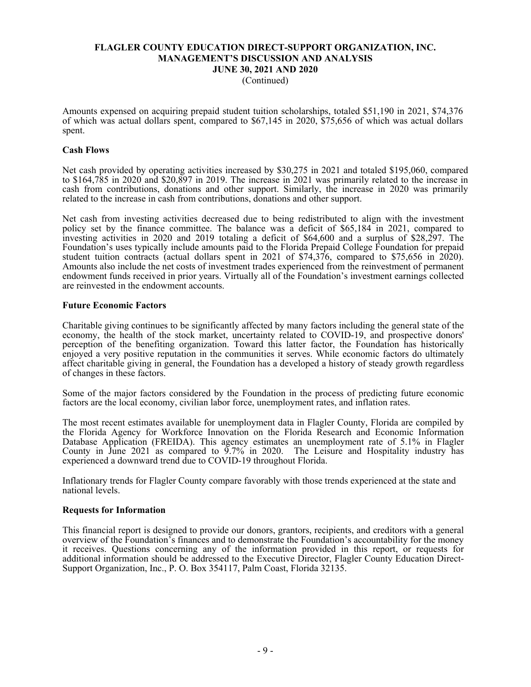(Continued)

Amounts expensed on acquiring prepaid student tuition scholarships, totaled \$51,190 in 2021, \$74,376 of which was actual dollars spent, compared to \$67,145 in 2020, \$75,656 of which was actual dollars spent.

#### **Cash Flows**

Net cash provided by operating activities increased by \$30,275 in 2021 and totaled \$195,060, compared to \$164,785 in 2020 and \$20,897 in 2019. The increase in 2021 was primarily related to the increase in cash from contributions, donations and other support. Similarly, the increase in 2020 was primarily related to the increase in cash from contributions, donations and other support.

Net cash from investing activities decreased due to being redistributed to align with the investment policy set by the finance committee. The balance was a deficit of \$65,184 in 2021, compared to investing activities in 2020 and 2019 totaling a deficit of \$64,600 and a surplus of \$28,297. The Foundation's uses typically include amounts paid to the Florida Prepaid College Foundation for prepaid student tuition contracts (actual dollars spent in 2021 of \$74,376, compared to \$75,656 in 2020). Amounts also include the net costs of investment trades experienced from the reinvestment of permanent endowment funds received in prior years. Virtually all of the Foundation's investment earnings collected are reinvested in the endowment accounts.

#### **Future Economic Factors**

Charitable giving continues to be significantly affected by many factors including the general state of the economy, the health of the stock market, uncertainty related to COVID-19, and prospective donors' perception of the benefiting organization. Toward this latter factor, the Foundation has historically enjoyed a very positive reputation in the communities it serves. While economic factors do ultimately affect charitable giving in general, the Foundation has a developed a history of steady growth regardless of changes in these factors.

Some of the major factors considered by the Foundation in the process of predicting future economic factors are the local economy, civilian labor force, unemployment rates, and inflation rates.

The most recent estimates available for unemployment data in Flagler County, Florida are compiled by the Florida Agency for Workforce Innovation on the Florida Research and Economic Information Database Application (FREIDA). This agency estimates an unemployment rate of 5.1% in Flagler County in June 2021 as compared to  $\overline{9.7\%}$  in 2020. The Leisure and Hospitality industry has experienced a downward trend due to COVID-19 throughout Florida.

Inflationary trends for Flagler County compare favorably with those trends experienced at the state and national levels.

#### **Requests for Information**

This financial report is designed to provide our donors, grantors, recipients, and creditors with a general overview of the Foundation's finances and to demonstrate the Foundation's accountability for the money it receives. Questions concerning any of the information provided in this report, or requests for additional information should be addressed to the Executive Director, Flagler County Education Direct-Support Organization, Inc., P. O. Box 354117, Palm Coast, Florida 32135.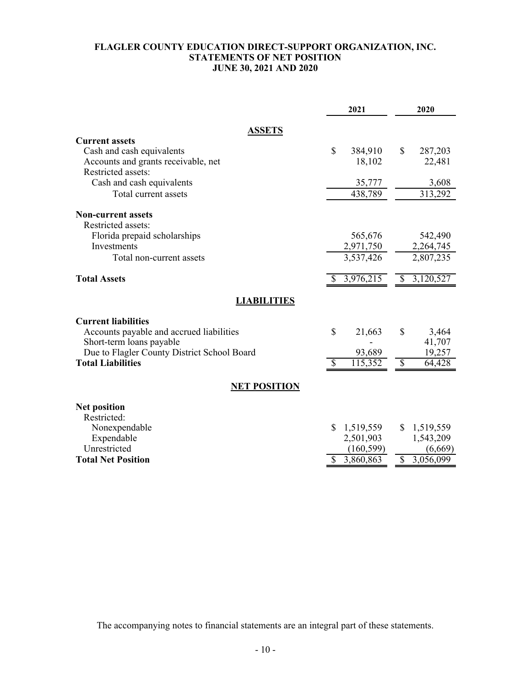#### **FLAGLER COUNTY EDUCATION DIRECT-SUPPORT ORGANIZATION, INC. STATEMENTS OF NET POSITION JUNE 30, 2021 AND 2020**

|                                             | 2021                    | 2020                                  |
|---------------------------------------------|-------------------------|---------------------------------------|
| <b>ASSETS</b>                               |                         |                                       |
| <b>Current assets</b>                       |                         |                                       |
| Cash and cash equivalents                   | \$<br>384,910           | \$<br>287,203                         |
| Accounts and grants receivable, net         | 18,102                  | 22,481                                |
| Restricted assets:                          |                         |                                       |
| Cash and cash equivalents                   | 35,777                  | 3,608                                 |
| Total current assets                        | 438,789                 | 313,292                               |
| <b>Non-current assets</b>                   |                         |                                       |
| Restricted assets:                          |                         |                                       |
| Florida prepaid scholarships                | 565,676                 | 542,490                               |
| Investments                                 | 2,971,750               | 2,264,745                             |
| Total non-current assets                    | 3,537,426               | 2,807,235                             |
| <b>Total Assets</b>                         | 3,976,215               | 3,120,527<br>\$                       |
| <b>LIABILITIES</b>                          |                         |                                       |
| <b>Current liabilities</b>                  |                         |                                       |
| Accounts payable and accrued liabilities    | \$<br>21,663            | \$<br>3,464                           |
| Short-term loans payable                    |                         | 41,707                                |
| Due to Flagler County District School Board | 93,689                  | 19,257                                |
| <b>Total Liabilities</b>                    | 115,352<br>\$           | $\overline{\mathcal{S}}$<br>64,428    |
| <b>NET POSITION</b>                         |                         |                                       |
|                                             |                         |                                       |
| <b>Net position</b>                         |                         |                                       |
| Restricted:                                 |                         |                                       |
| Nonexpendable                               | S<br>1,519,559          | \$<br>1,519,559                       |
| Expendable<br>Unrestricted                  | 2,501,903               | 1,543,209<br>(6,669)                  |
| <b>Total Net Position</b>                   | (160, 599)<br>3,860,863 | $\overline{\mathcal{S}}$<br>3,056,099 |
|                                             |                         |                                       |

The accompanying notes to financial statements are an integral part of these statements.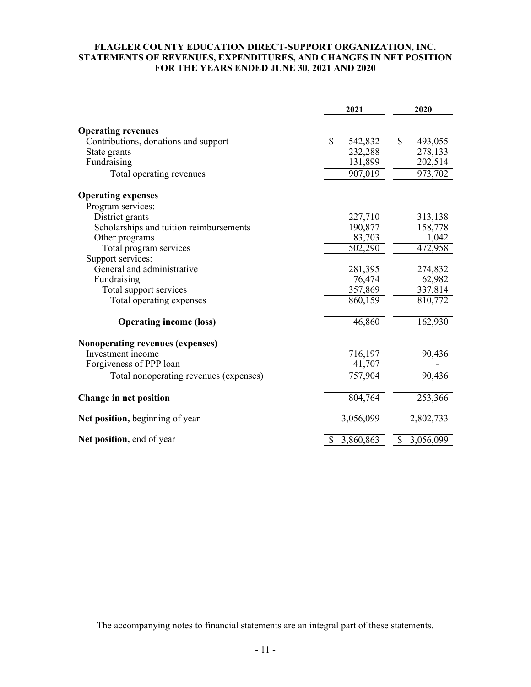#### **FLAGLER COUNTY EDUCATION DIRECT-SUPPORT ORGANIZATION, INC. STATEMENTS OF REVENUES, EXPENDITURES, AND CHANGES IN NET POSITION FOR THE YEARS ENDED JUNE 30, 2021 AND 2020**

|                                         | 2021            | 2020            |  |
|-----------------------------------------|-----------------|-----------------|--|
|                                         |                 |                 |  |
| <b>Operating revenues</b>               |                 |                 |  |
| Contributions, donations and support    | \$<br>542,832   | \$<br>493,055   |  |
| State grants                            | 232,288         | 278,133         |  |
| Fundraising                             | 131,899         | 202,514         |  |
| Total operating revenues                | 907,019         | 973,702         |  |
| <b>Operating expenses</b>               |                 |                 |  |
| Program services:                       |                 |                 |  |
| District grants                         | 227,710         | 313,138         |  |
| Scholarships and tuition reimbursements | 190,877         | 158,778         |  |
| Other programs                          | 83,703          | 1,042           |  |
| Total program services                  | 502,290         | 472,958         |  |
| Support services:                       |                 |                 |  |
| General and administrative              | 281,395         | 274,832         |  |
| Fundraising                             | 76,474          | 62,982          |  |
| Total support services                  | 357,869         | 337,814         |  |
| Total operating expenses                | 860,159         | 810,772         |  |
| <b>Operating income (loss)</b>          | 46,860          | 162,930         |  |
| Nonoperating revenues (expenses)        |                 |                 |  |
| Investment income                       | 716,197         | 90,436          |  |
| Forgiveness of PPP loan                 | 41,707          |                 |  |
| Total nonoperating revenues (expenses)  | 757,904         | 90,436          |  |
| Change in net position                  | 804,764         | 253,366         |  |
| Net position, beginning of year         | 3,056,099       | 2,802,733       |  |
| Net position, end of year               | 3,860,863<br>\$ | 3,056,099<br>\$ |  |

The accompanying notes to financial statements are an integral part of these statements.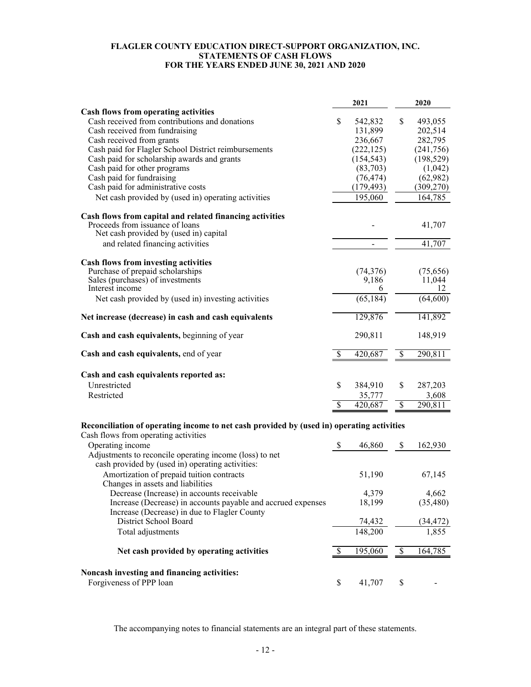#### **FLAGLER COUNTY EDUCATION DIRECT-SUPPORT ORGANIZATION, INC. STATEMENTS OF CASH FLOWS FOR THE YEARS ENDED JUNE 30, 2021 AND 2020**

|                                                                                                                                   | 2021                    |                          | 2020             |
|-----------------------------------------------------------------------------------------------------------------------------------|-------------------------|--------------------------|------------------|
| Cash flows from operating activities                                                                                              |                         |                          |                  |
| Cash received from contributions and donations                                                                                    | \$<br>542,832           | \$                       | 493,055          |
| Cash received from fundraising                                                                                                    | 131,899                 |                          | 202,514          |
| Cash received from grants                                                                                                         | 236,667                 |                          | 282,795          |
| Cash paid for Flagler School District reimbursements                                                                              | (222, 125)              |                          | (241, 756)       |
| Cash paid for scholarship awards and grants                                                                                       | (154, 543)              |                          | (198, 529)       |
| Cash paid for other programs                                                                                                      | (83,703)                |                          | (1,042)          |
| Cash paid for fundraising                                                                                                         | (76, 474)               |                          | (62,982)         |
| Cash paid for administrative costs                                                                                                | (179, 493)              |                          | (309, 270)       |
| Net cash provided by (used in) operating activities                                                                               | 195,060                 |                          | 164,785          |
| Cash flows from capital and related financing activities                                                                          |                         |                          |                  |
| Proceeds from issuance of loans                                                                                                   |                         |                          | 41,707           |
| Net cash provided by (used in) capital                                                                                            |                         |                          |                  |
| and related financing activities                                                                                                  |                         |                          | 41,707           |
| <b>Cash flows from investing activities</b>                                                                                       |                         |                          |                  |
| Purchase of prepaid scholarships                                                                                                  | (74, 376)               |                          | (75,656)         |
| Sales (purchases) of investments                                                                                                  | 9,186                   |                          | 11,044           |
| Interest income                                                                                                                   | 6                       |                          | 12               |
| Net cash provided by (used in) investing activities                                                                               | (65, 184)               |                          | (64, 600)        |
| Net increase (decrease) in cash and cash equivalents                                                                              | 129,876                 |                          | 141,892          |
| Cash and cash equivalents, beginning of year                                                                                      | 290,811                 |                          | 148,919          |
| Cash and cash equivalents, end of year                                                                                            | \$<br>420,687           | \$                       | 290,811          |
| Cash and cash equivalents reported as:                                                                                            |                         |                          |                  |
| Unrestricted                                                                                                                      | \$<br>384,910           | \$                       | 287,203          |
| Restricted                                                                                                                        |                         |                          |                  |
|                                                                                                                                   | \$<br>35,777<br>420,687 | $\overline{\mathcal{S}}$ | 3,608<br>290,811 |
|                                                                                                                                   |                         |                          |                  |
| Reconciliation of operating income to net cash provided by (used in) operating activities<br>Cash flows from operating activities |                         |                          |                  |

| Operating income                                             | 46,860  | S | 162,930   |
|--------------------------------------------------------------|---------|---|-----------|
| Adjustments to reconcile operating income (loss) to net      |         |   |           |
| cash provided by (used in) operating activities:             |         |   |           |
| Amortization of prepaid tuition contracts                    | 51,190  |   | 67,145    |
| Changes in assets and liabilities                            |         |   |           |
| Decrease (Increase) in accounts receivable                   | 4,379   |   | 4,662     |
| Increase (Decrease) in accounts payable and accrued expenses | 18,199  |   | (35, 480) |
| Increase (Decrease) in due to Flagler County                 |         |   |           |
| District School Board                                        | 74,432  |   | (34, 472) |
| Total adjustments                                            | 148,200 |   | 1.855     |
| Net cash provided by operating activities                    | 195,060 |   | 164,785   |
| Noncash investing and financing activities:                  |         |   |           |
| Forgiveness of PPP loan                                      | 41.707  |   |           |

The accompanying notes to financial statements are an integral part of these statements.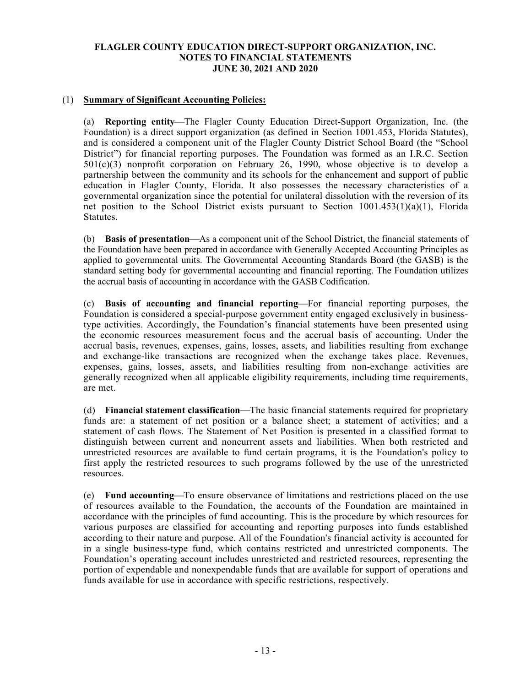# (1) **Summary of Significant Accounting Policies:**

(a) **Reporting entity—The Flagler County Education Direct-Support Organization, Inc. (the** Foundation) is a direct support organization (as defined in Section 1001.453, Florida Statutes), and is considered a component unit of the Flagler County District School Board (the "School District") for financial reporting purposes. The Foundation was formed as an I.R.C. Section 501(c)(3) nonprofit corporation on February 26, 1990, whose objective is to develop a partnership between the community and its schools for the enhancement and support of public education in Flagler County, Florida. It also possesses the necessary characteristics of a governmental organization since the potential for unilateral dissolution with the reversion of its net position to the School District exists pursuant to Section  $1001.453(1)(a)(1)$ , Florida Statutes.

(b) **Basis of presentation**—As a component unit of the School District, the financial statements of the Foundation have been prepared in accordance with Generally Accepted Accounting Principles as applied to governmental units. The Governmental Accounting Standards Board (the GASB) is the standard setting body for governmental accounting and financial reporting. The Foundation utilizes the accrual basis of accounting in accordance with the GASB Codification.

(c) **Basis of accounting and financial reporting—For financial reporting purposes, the** Foundation is considered a special-purpose government entity engaged exclusively in businesstype activities. Accordingly, the Foundation's financial statements have been presented using the economic resources measurement focus and the accrual basis of accounting. Under the accrual basis, revenues, expenses, gains, losses, assets, and liabilities resulting from exchange and exchange-like transactions are recognized when the exchange takes place. Revenues, expenses, gains, losses, assets, and liabilities resulting from non-exchange activities are generally recognized when all applicable eligibility requirements, including time requirements, are met.

(d) **Financial statement classification—The basic financial statements required for proprietary** funds are: a statement of net position or a balance sheet; a statement of activities; and a statement of cash flows. The Statement of Net Position is presented in a classified format to distinguish between current and noncurrent assets and liabilities. When both restricted and unrestricted resources are available to fund certain programs, it is the Foundation's policy to first apply the restricted resources to such programs followed by the use of the unrestricted resources.

(e) **Fund accounting—To** ensure observance of limitations and restrictions placed on the use of resources available to the Foundation, the accounts of the Foundation are maintained in accordance with the principles of fund accounting. This is the procedure by which resources for various purposes are classified for accounting and reporting purposes into funds established according to their nature and purpose. All of the Foundation's financial activity is accounted for in a single business-type fund, which contains restricted and unrestricted components. The Foundation's operating account includes unrestricted and restricted resources, representing the portion of expendable and nonexpendable funds that are available for support of operations and funds available for use in accordance with specific restrictions, respectively.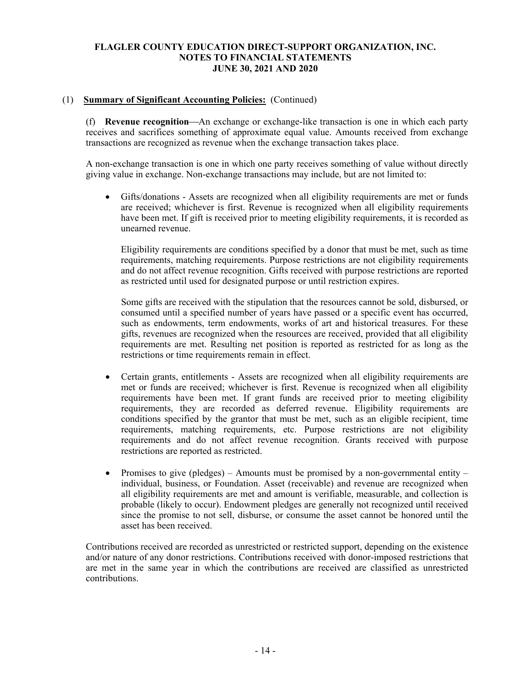# (1) **Summary of Significant Accounting Policies:** (Continued)

(f) **Revenue recognition**An exchange or exchange-like transaction is one in which each party receives and sacrifices something of approximate equal value. Amounts received from exchange transactions are recognized as revenue when the exchange transaction takes place.

A non-exchange transaction is one in which one party receives something of value without directly giving value in exchange. Non-exchange transactions may include, but are not limited to:

 Gifts/donations - Assets are recognized when all eligibility requirements are met or funds are received; whichever is first. Revenue is recognized when all eligibility requirements have been met. If gift is received prior to meeting eligibility requirements, it is recorded as unearned revenue.

Eligibility requirements are conditions specified by a donor that must be met, such as time requirements, matching requirements. Purpose restrictions are not eligibility requirements and do not affect revenue recognition. Gifts received with purpose restrictions are reported as restricted until used for designated purpose or until restriction expires.

Some gifts are received with the stipulation that the resources cannot be sold, disbursed, or consumed until a specified number of years have passed or a specific event has occurred, such as endowments, term endowments, works of art and historical treasures. For these gifts, revenues are recognized when the resources are received, provided that all eligibility requirements are met. Resulting net position is reported as restricted for as long as the restrictions or time requirements remain in effect.

- Certain grants, entitlements Assets are recognized when all eligibility requirements are met or funds are received; whichever is first. Revenue is recognized when all eligibility requirements have been met. If grant funds are received prior to meeting eligibility requirements, they are recorded as deferred revenue. Eligibility requirements are conditions specified by the grantor that must be met, such as an eligible recipient, time requirements, matching requirements, etc. Purpose restrictions are not eligibility requirements and do not affect revenue recognition. Grants received with purpose restrictions are reported as restricted.
- Promises to give (pledges) Amounts must be promised by a non-governmental entity individual, business, or Foundation. Asset (receivable) and revenue are recognized when all eligibility requirements are met and amount is verifiable, measurable, and collection is probable (likely to occur). Endowment pledges are generally not recognized until received since the promise to not sell, disburse, or consume the asset cannot be honored until the asset has been received.

Contributions received are recorded as unrestricted or restricted support, depending on the existence and/or nature of any donor restrictions. Contributions received with donor-imposed restrictions that are met in the same year in which the contributions are received are classified as unrestricted contributions.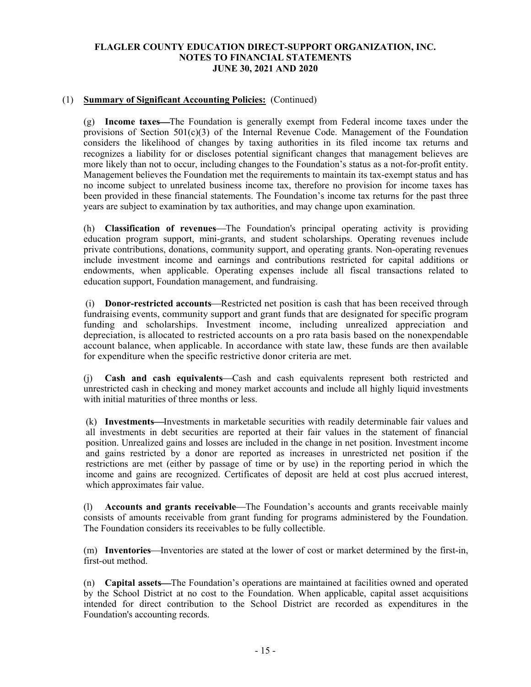# (1) **Summary of Significant Accounting Policies:** (Continued)

(g) **Income taxes**—The Foundation is generally exempt from Federal income taxes under the provisions of Section  $501(c)(3)$  of the Internal Revenue Code. Management of the Foundation considers the likelihood of changes by taxing authorities in its filed income tax returns and recognizes a liability for or discloses potential significant changes that management believes are more likely than not to occur, including changes to the Foundation's status as a not-for-profit entity. Management believes the Foundation met the requirements to maintain its tax-exempt status and has no income subject to unrelated business income tax, therefore no provision for income taxes has been provided in these financial statements. The Foundation's income tax returns for the past three years are subject to examination by tax authorities, and may change upon examination.

(h) **Classification of revenues**—The Foundation's principal operating activity is providing education program support, mini-grants, and student scholarships. Operating revenues include private contributions, donations, community support, and operating grants. Non-operating revenues include investment income and earnings and contributions restricted for capital additions or endowments, when applicable. Operating expenses include all fiscal transactions related to education support, Foundation management, and fundraising.

(i) **Donor-restricted accounts—Restricted net position is cash that has been received through** fundraising events, community support and grant funds that are designated for specific program funding and scholarships. Investment income, including unrealized appreciation and depreciation, is allocated to restricted accounts on a pro rata basis based on the nonexpendable account balance, when applicable. In accordance with state law, these funds are then available for expenditure when the specific restrictive donor criteria are met.

(i) **Cash and cash equivalents**—Cash and cash equivalents represent both restricted and unrestricted cash in checking and money market accounts and include all highly liquid investments with initial maturities of three months or less.

(k) **Investments**—Investments in marketable securities with readily determinable fair values and all investments in debt securities are reported at their fair values in the statement of financial position. Unrealized gains and losses are included in the change in net position. Investment income and gains restricted by a donor are reported as increases in unrestricted net position if the restrictions are met (either by passage of time or by use) in the reporting period in which the income and gains are recognized. Certificates of deposit are held at cost plus accrued interest, which approximates fair value.

(l) **Accounts and grants receivable**The Foundation's accounts and grants receivable mainly consists of amounts receivable from grant funding for programs administered by the Foundation. The Foundation considers its receivables to be fully collectible.

(m) **Inventories**—Inventories are stated at the lower of cost or market determined by the first-in, first-out method.

(n) **Capital assets—The Foundation's operations are maintained at facilities owned and operated** by the School District at no cost to the Foundation. When applicable, capital asset acquisitions intended for direct contribution to the School District are recorded as expenditures in the Foundation's accounting records.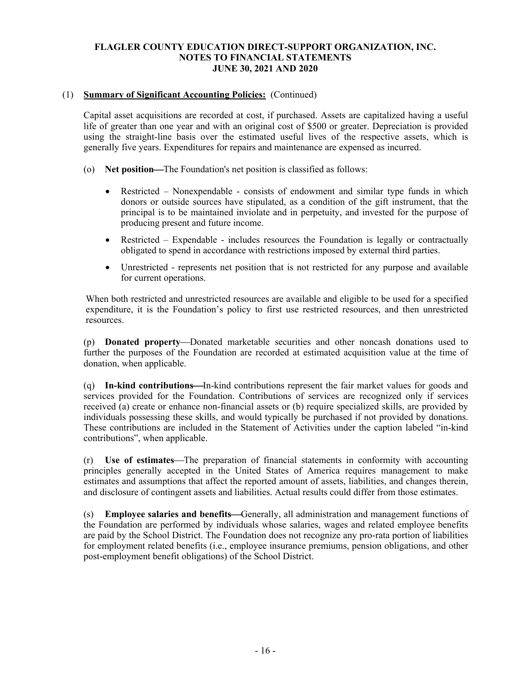## (1) **Summary of Significant Accounting Policies:** (Continued)

Capital asset acquisitions are recorded at cost, if purchased. Assets are capitalized having a useful life of greater than one year and with an original cost of \$500 or greater. Depreciation is provided using the straight-line basis over the estimated useful lives of the respective assets, which is generally five years. Expenditures for repairs and maintenance are expensed as incurred.

- (o) **Net position—The Foundation's net position is classified as follows:** 
	- Restricted Nonexpendable consists of endowment and similar type funds in which donors or outside sources have stipulated, as a condition of the gift instrument, that the principal is to be maintained inviolate and in perpetuity, and invested for the purpose of producing present and future income.
	- Restricted Expendable includes resources the Foundation is legally or contractually obligated to spend in accordance with restrictions imposed by external third parties.
	- Unrestricted represents net position that is not restricted for any purpose and available for current operations.

When both restricted and unrestricted resources are available and eligible to be used for a specified expenditure, it is the Foundation's policy to first use restricted resources, and then unrestricted resources.

(p) **Donated property**Donated marketable securities and other noncash donations used to further the purposes of the Foundation are recorded at estimated acquisition value at the time of donation, when applicable.

(q) **In-kind contributions**—In-kind contributions represent the fair market values for goods and services provided for the Foundation. Contributions of services are recognized only if services received (a) create or enhance non-financial assets or (b) require specialized skills, are provided by individuals possessing these skills, and would typically be purchased if not provided by donations. These contributions are included in the Statement of Activities under the caption labeled "in-kind contributions", when applicable.

(r) **Use of estimates**The preparation of financial statements in conformity with accounting principles generally accepted in the United States of America requires management to make estimates and assumptions that affect the reported amount of assets, liabilities, and changes therein, and disclosure of contingent assets and liabilities. Actual results could differ from those estimates.

(s) **Employee salaries and benefits—Generally, all administration and management functions of** the Foundation are performed by individuals whose salaries, wages and related employee benefits are paid by the School District. The Foundation does not recognize any pro-rata portion of liabilities for employment related benefits (i.e., employee insurance premiums, pension obligations, and other post-employment benefit obligations) of the School District.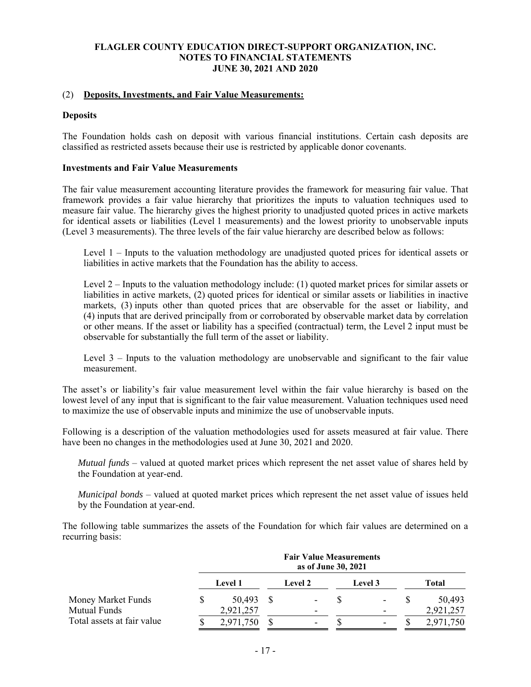#### (2) **Deposits, Investments, and Fair Value Measurements:**

#### **Deposits**

The Foundation holds cash on deposit with various financial institutions. Certain cash deposits are classified as restricted assets because their use is restricted by applicable donor covenants.

#### **Investments and Fair Value Measurements**

The fair value measurement accounting literature provides the framework for measuring fair value. That framework provides a fair value hierarchy that prioritizes the inputs to valuation techniques used to measure fair value. The hierarchy gives the highest priority to unadjusted quoted prices in active markets for identical assets or liabilities (Level 1 measurements) and the lowest priority to unobservable inputs (Level 3 measurements). The three levels of the fair value hierarchy are described below as follows:

Level 1 – Inputs to the valuation methodology are unadjusted quoted prices for identical assets or liabilities in active markets that the Foundation has the ability to access.

Level 2 – Inputs to the valuation methodology include: (1) quoted market prices for similar assets or liabilities in active markets, (2) quoted prices for identical or similar assets or liabilities in inactive markets, (3) inputs other than quoted prices that are observable for the asset or liability, and (4) inputs that are derived principally from or corroborated by observable market data by correlation or other means. If the asset or liability has a specified (contractual) term, the Level 2 input must be observable for substantially the full term of the asset or liability.

Level 3 – Inputs to the valuation methodology are unobservable and significant to the fair value measurement.

The asset's or liability's fair value measurement level within the fair value hierarchy is based on the lowest level of any input that is significant to the fair value measurement. Valuation techniques used need to maximize the use of observable inputs and minimize the use of unobservable inputs.

Following is a description of the valuation methodologies used for assets measured at fair value. There have been no changes in the methodologies used at June 30, 2021 and 2020.

*Mutual funds* – valued at quoted market prices which represent the net asset value of shares held by the Foundation at year-end.

*Municipal bonds* – valued at quoted market prices which represent the net asset value of issues held by the Foundation at year-end.

The following table summarizes the assets of the Foundation for which fair values are determined on a recurring basis:

|                            |                | <b>Fair Value Measurements</b> | as of June 30, 2021 |         |              |
|----------------------------|----------------|--------------------------------|---------------------|---------|--------------|
|                            | <b>Level 1</b> | <b>Level 2</b>                 |                     | Level 3 | <b>Total</b> |
| Money Market Funds         | 50,493         | $\qquad \qquad \blacksquare$   |                     | ۰       | 50,493       |
| Mutual Funds               | 2,921,257      | ۰                              |                     |         | 2,921,257    |
| Total assets at fair value | 2,971,750      | $\qquad \qquad \blacksquare$   |                     | -       | 2,971,750    |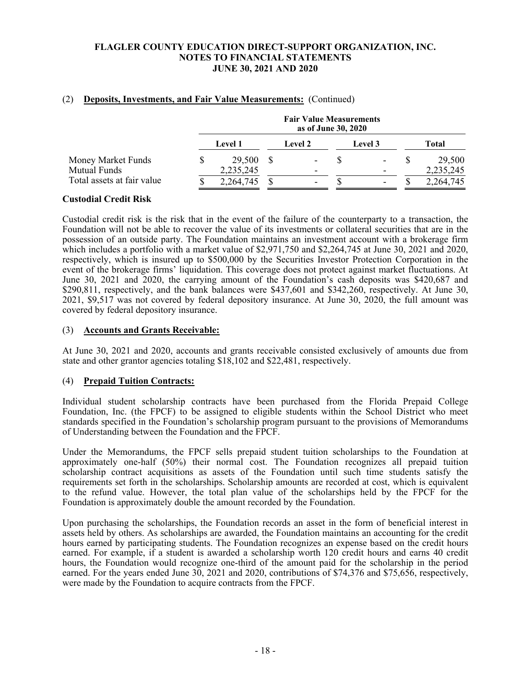|                            | <b>Fair Value Measurements</b><br>as of June 30, 2020 |                |  |                          |  |                          |  |           |
|----------------------------|-------------------------------------------------------|----------------|--|--------------------------|--|--------------------------|--|-----------|
|                            |                                                       | <b>Level 1</b> |  | <b>Level 2</b>           |  | Level 3                  |  | Total     |
| Money Market Funds         |                                                       | 29,500         |  | $\overline{\phantom{a}}$ |  | $\overline{\phantom{a}}$ |  | 29,500    |
| <b>Mutual Funds</b>        |                                                       | 2,235,245      |  | $\overline{\phantom{0}}$ |  | -                        |  | 2,235,245 |
| Total assets at fair value |                                                       | 2,264,745      |  | $\overline{\phantom{a}}$ |  | $\overline{\phantom{0}}$ |  | 2,264,745 |

# (2) **Deposits, Investments, and Fair Value Measurements:** (Continued)

#### **Custodial Credit Risk**

Custodial credit risk is the risk that in the event of the failure of the counterparty to a transaction, the Foundation will not be able to recover the value of its investments or collateral securities that are in the possession of an outside party. The Foundation maintains an investment account with a brokerage firm which includes a portfolio with a market value of \$2,971,750 and \$2,264,745 at June 30, 2021 and 2020, respectively, which is insured up to \$500,000 by the Securities Investor Protection Corporation in the event of the brokerage firms' liquidation. This coverage does not protect against market fluctuations. At June 30, 2021 and 2020, the carrying amount of the Foundation's cash deposits was \$420,687 and \$290,811, respectively, and the bank balances were \$437,601 and \$342,260, respectively. At June 30, 2021, \$9,517 was not covered by federal depository insurance. At June 30, 2020, the full amount was covered by federal depository insurance.

# (3) **Accounts and Grants Receivable:**

At June 30, 2021 and 2020, accounts and grants receivable consisted exclusively of amounts due from state and other grantor agencies totaling \$18,102 and \$22,481, respectively.

# (4) **Prepaid Tuition Contracts:**

Individual student scholarship contracts have been purchased from the Florida Prepaid College Foundation, Inc. (the FPCF) to be assigned to eligible students within the School District who meet standards specified in the Foundation's scholarship program pursuant to the provisions of Memorandums of Understanding between the Foundation and the FPCF.

Under the Memorandums, the FPCF sells prepaid student tuition scholarships to the Foundation at approximately one-half (50%) their normal cost. The Foundation recognizes all prepaid tuition scholarship contract acquisitions as assets of the Foundation until such time students satisfy the requirements set forth in the scholarships. Scholarship amounts are recorded at cost, which is equivalent to the refund value. However, the total plan value of the scholarships held by the FPCF for the Foundation is approximately double the amount recorded by the Foundation.

Upon purchasing the scholarships, the Foundation records an asset in the form of beneficial interest in assets held by others. As scholarships are awarded, the Foundation maintains an accounting for the credit hours earned by participating students. The Foundation recognizes an expense based on the credit hours earned. For example, if a student is awarded a scholarship worth 120 credit hours and earns 40 credit hours, the Foundation would recognize one-third of the amount paid for the scholarship in the period earned. For the years ended June 30, 2021 and 2020, contributions of \$74,376 and \$75,656, respectively, were made by the Foundation to acquire contracts from the FPCF.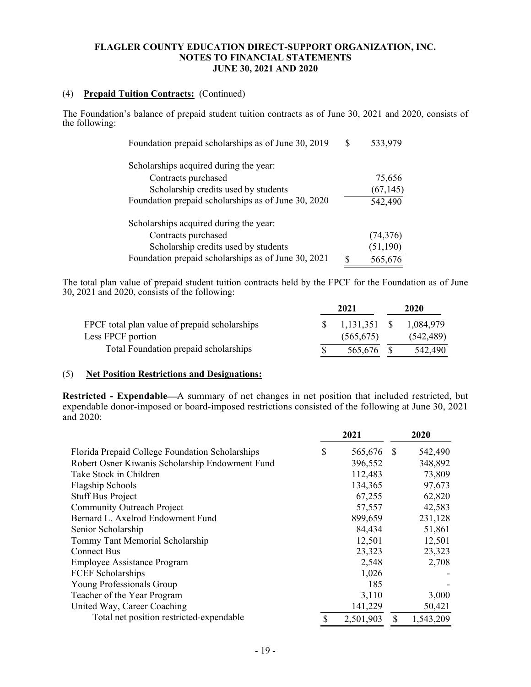## (4) **Prepaid Tuition Contracts:** (Continued)

The Foundation's balance of prepaid student tuition contracts as of June 30, 2021 and 2020, consists of the following:

| Foundation prepaid scholarships as of June 30, 2019 | S. | 533,979   |
|-----------------------------------------------------|----|-----------|
| Scholarships acquired during the year:              |    |           |
| Contracts purchased                                 |    | 75,656    |
| Scholarship credits used by students                |    | (67, 145) |
| Foundation prepaid scholarships as of June 30, 2020 |    | 542,490   |
| Scholarships acquired during the year:              |    |           |
| Contracts purchased                                 |    | (74, 376) |
| Scholarship credits used by students                |    | (51,190)  |
| Foundation prepaid scholarships as of June 30, 2021 |    | 565,676   |

The total plan value of prepaid student tuition contracts held by the FPCF for the Foundation as of June 30, 2021 and 2020, consists of the following:

|                                               | 2021 |                |  | 2020       |  |  |
|-----------------------------------------------|------|----------------|--|------------|--|--|
| FPCF total plan value of prepaid scholarships |      | $1,131,351$ \$ |  | 1.084.979  |  |  |
| Less FPCF portion                             |      | (565, 675)     |  | (542, 489) |  |  |
| Total Foundation prepaid scholarships         |      | 565,676        |  | 542,490    |  |  |

### (5) **Net Position Restrictions and Designations:**

**Restricted - Expendable—A** summary of net changes in net position that included restricted, but expendable donor-imposed or board-imposed restrictions consisted of the following at June 30, 2021 and 2020:

|                                                 | 2021            |              | 2020      |
|-------------------------------------------------|-----------------|--------------|-----------|
| Florida Prepaid College Foundation Scholarships | \$<br>565,676   | -S           | 542,490   |
| Robert Osner Kiwanis Scholarship Endowment Fund | 396,552         |              | 348,892   |
| Take Stock in Children                          | 112,483         |              | 73,809    |
| Flagship Schools                                | 134,365         |              | 97,673    |
| <b>Stuff Bus Project</b>                        | 67,255          |              | 62,820    |
| <b>Community Outreach Project</b>               | 57,557          |              | 42,583    |
| Bernard L. Axelrod Endowment Fund               | 899,659         |              | 231,128   |
| Senior Scholarship                              | 84,434          |              | 51,861    |
| Tommy Tant Memorial Scholarship                 | 12,501          |              | 12,501    |
| <b>Connect Bus</b>                              | 23,323          |              | 23,323    |
| Employee Assistance Program                     | 2,548           |              | 2,708     |
| <b>FCEF</b> Scholarships                        | 1,026           |              |           |
| Young Professionals Group                       | 185             |              |           |
| Teacher of the Year Program                     | 3,110           |              | 3,000     |
| United Way, Career Coaching                     | 141,229         |              | 50,421    |
| Total net position restricted-expendable        | \$<br>2,501,903 | $\mathbb{S}$ | 1,543,209 |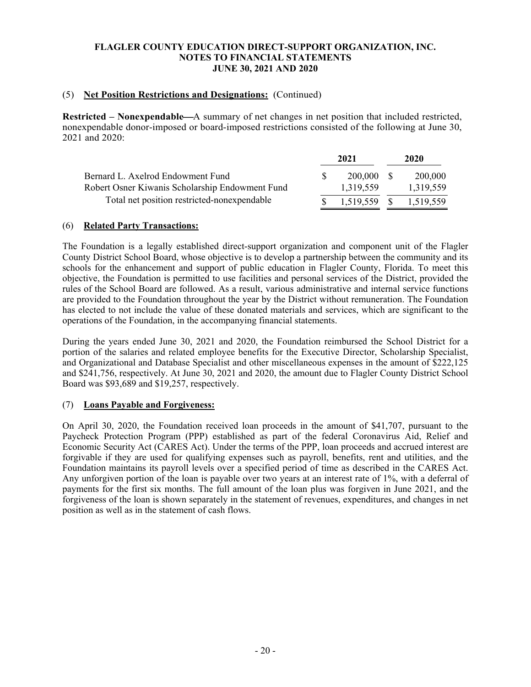# (5) **Net Position Restrictions and Designations:** (Continued)

**Restricted – Nonexpendable—A** summary of net changes in net position that included restricted, nonexpendable donor-imposed or board-imposed restrictions consisted of the following at June 30, 2021 and 2020:

|                                                 |  | 2021                            |  | 2020      |  |
|-------------------------------------------------|--|---------------------------------|--|-----------|--|
| Bernard L. Axelrod Endowment Fund               |  | 200,000 \$                      |  | 200,000   |  |
| Robert Osner Kiwanis Scholarship Endowment Fund |  | 1,319,559                       |  | 1.319.559 |  |
| Total net position restricted-nonexpendable     |  | $\frac{1519}{559}$ \$ 1.519.559 |  |           |  |

# (6) **Related Party Transactions:**

The Foundation is a legally established direct-support organization and component unit of the Flagler County District School Board, whose objective is to develop a partnership between the community and its schools for the enhancement and support of public education in Flagler County, Florida. To meet this objective, the Foundation is permitted to use facilities and personal services of the District, provided the rules of the School Board are followed. As a result, various administrative and internal service functions are provided to the Foundation throughout the year by the District without remuneration. The Foundation has elected to not include the value of these donated materials and services, which are significant to the operations of the Foundation, in the accompanying financial statements.

During the years ended June 30, 2021 and 2020, the Foundation reimbursed the School District for a portion of the salaries and related employee benefits for the Executive Director, Scholarship Specialist, and Organizational and Database Specialist and other miscellaneous expenses in the amount of \$222,125 and \$241,756, respectively. At June 30, 2021 and 2020, the amount due to Flagler County District School Board was \$93,689 and \$19,257, respectively.

# (7) **Loans Payable and Forgiveness:**

On April 30, 2020, the Foundation received loan proceeds in the amount of \$41,707, pursuant to the Paycheck Protection Program (PPP) established as part of the federal Coronavirus Aid, Relief and Economic Security Act (CARES Act). Under the terms of the PPP, loan proceeds and accrued interest are forgivable if they are used for qualifying expenses such as payroll, benefits, rent and utilities, and the Foundation maintains its payroll levels over a specified period of time as described in the CARES Act. Any unforgiven portion of the loan is payable over two years at an interest rate of 1%, with a deferral of payments for the first six months. The full amount of the loan plus was forgiven in June 2021, and the forgiveness of the loan is shown separately in the statement of revenues, expenditures, and changes in net position as well as in the statement of cash flows.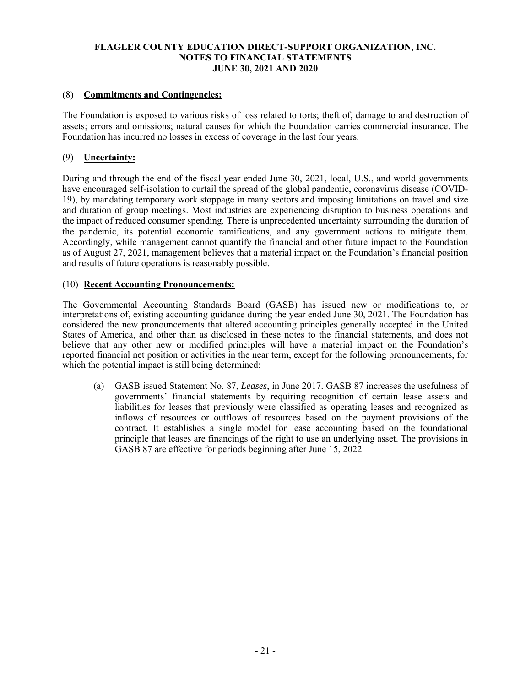## (8) **Commitments and Contingencies:**

The Foundation is exposed to various risks of loss related to torts; theft of, damage to and destruction of assets; errors and omissions; natural causes for which the Foundation carries commercial insurance. The Foundation has incurred no losses in excess of coverage in the last four years.

# (9) **Uncertainty:**

During and through the end of the fiscal year ended June 30, 2021, local, U.S., and world governments have encouraged self-isolation to curtail the spread of the global pandemic, coronavirus disease (COVID-19), by mandating temporary work stoppage in many sectors and imposing limitations on travel and size and duration of group meetings. Most industries are experiencing disruption to business operations and the impact of reduced consumer spending. There is unprecedented uncertainty surrounding the duration of the pandemic, its potential economic ramifications, and any government actions to mitigate them. Accordingly, while management cannot quantify the financial and other future impact to the Foundation as of August 27, 2021, management believes that a material impact on the Foundation's financial position and results of future operations is reasonably possible.

#### (10) **Recent Accounting Pronouncements:**

The Governmental Accounting Standards Board (GASB) has issued new or modifications to, or interpretations of, existing accounting guidance during the year ended June 30, 2021. The Foundation has considered the new pronouncements that altered accounting principles generally accepted in the United States of America, and other than as disclosed in these notes to the financial statements, and does not believe that any other new or modified principles will have a material impact on the Foundation's reported financial net position or activities in the near term, except for the following pronouncements, for which the potential impact is still being determined:

(a) GASB issued Statement No. 87, *Leases*, in June 2017. GASB 87 increases the usefulness of governments' financial statements by requiring recognition of certain lease assets and liabilities for leases that previously were classified as operating leases and recognized as inflows of resources or outflows of resources based on the payment provisions of the contract. It establishes a single model for lease accounting based on the foundational principle that leases are financings of the right to use an underlying asset. The provisions in GASB 87 are effective for periods beginning after June 15, 2022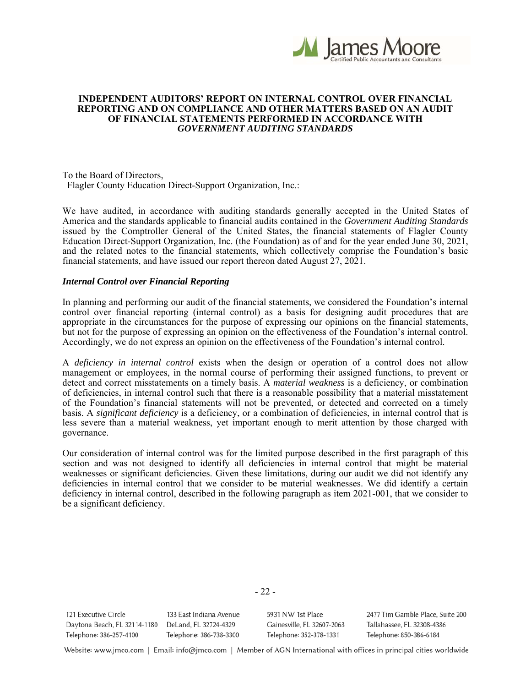

#### **INDEPENDENT AUDITORS' REPORT ON INTERNAL CONTROL OVER FINANCIAL REPORTING AND ON COMPLIANCE AND OTHER MATTERS BASED ON AN AUDIT OF FINANCIAL STATEMENTS PERFORMED IN ACCORDANCE WITH**  *GOVERNMENT AUDITING STANDARDS*

To the Board of Directors, Flagler County Education Direct-Support Organization, Inc.:

We have audited, in accordance with auditing standards generally accepted in the United States of America and the standards applicable to financial audits contained in the *Government Auditing Standards* issued by the Comptroller General of the United States, the financial statements of Flagler County Education Direct-Support Organization, Inc. (the Foundation) as of and for the year ended June 30, 2021, and the related notes to the financial statements, which collectively comprise the Foundation's basic financial statements, and have issued our report thereon dated August 27, 2021.

#### *Internal Control over Financial Reporting*

In planning and performing our audit of the financial statements, we considered the Foundation's internal control over financial reporting (internal control) as a basis for designing audit procedures that are appropriate in the circumstances for the purpose of expressing our opinions on the financial statements, but not for the purpose of expressing an opinion on the effectiveness of the Foundation's internal control. Accordingly, we do not express an opinion on the effectiveness of the Foundation's internal control.

A *deficiency in internal control* exists when the design or operation of a control does not allow management or employees, in the normal course of performing their assigned functions, to prevent or detect and correct misstatements on a timely basis. A *material weakness* is a deficiency, or combination of deficiencies, in internal control such that there is a reasonable possibility that a material misstatement of the Foundation's financial statements will not be prevented, or detected and corrected on a timely basis. A *significant deficiency* is a deficiency, or a combination of deficiencies, in internal control that is less severe than a material weakness, yet important enough to merit attention by those charged with governance.

Our consideration of internal control was for the limited purpose described in the first paragraph of this section and was not designed to identify all deficiencies in internal control that might be material weaknesses or significant deficiencies. Given these limitations, during our audit we did not identify any deficiencies in internal control that we consider to be material weaknesses. We did identify a certain deficiency in internal control, described in the following paragraph as item 2021-001, that we consider to be a significant deficiency.

121 Executive Circle Daytona Beach, FL 32114-1180 Telephone: 386-257-4100

133 East Indiana Avenue DeLand, FL 32724-4329 Telephone: 386-738-3300

5931 NW 1st Place Gainesville, FL 32607-2063 Telephone: 352-378-1331

2477 Tim Gamble Place, Suite 200 Tallahassee, FL 32308-4386 Telephone: 850-386-6184

Website: www.jmco.com | Email: info@jmco.com | Member of AGN International with offices in principal cities worldwide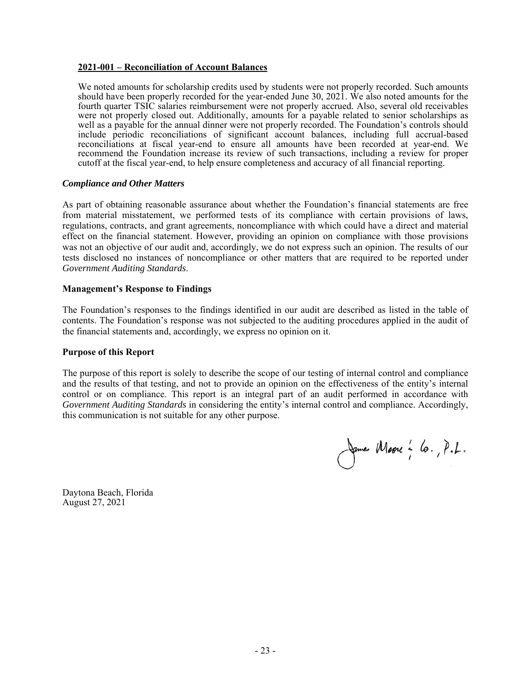# **2021-001 – Reconciliation of Account Balances**

We noted amounts for scholarship credits used by students were not properly recorded. Such amounts should have been properly recorded for the year-ended June 30, 2021. We also noted amounts for the fourth quarter TSIC salaries reimbursement were not properly accrued. Also, several old receivables were not properly closed out. Additionally, amounts for a payable related to senior scholarships as well as a payable for the annual dinner were not properly recorded. The Foundation's controls should include periodic reconciliations of significant account balances, including full accrual-based reconciliations at fiscal year-end to ensure all amounts have been recorded at year-end. We recommend the Foundation increase its review of such transactions, including a review for proper cutoff at the fiscal year-end, to help ensure completeness and accuracy of all financial reporting.

#### *Compliance and Other Matters*

As part of obtaining reasonable assurance about whether the Foundation's financial statements are free from material misstatement, we performed tests of its compliance with certain provisions of laws, regulations, contracts, and grant agreements, noncompliance with which could have a direct and material effect on the financial statement. However, providing an opinion on compliance with those provisions was not an objective of our audit and, accordingly, we do not express such an opinion. The results of our tests disclosed no instances of noncompliance or other matters that are required to be reported under *Government Auditing Standards*.

#### **Management's Response to Findings**

The Foundation's responses to the findings identified in our audit are described as listed in the table of contents. The Foundation's response was not subjected to the auditing procedures applied in the audit of the financial statements and, accordingly, we express no opinion on it.

#### **Purpose of this Report**

The purpose of this report is solely to describe the scope of our testing of internal control and compliance and the results of that testing, and not to provide an opinion on the effectiveness of the entity's internal control or on compliance. This report is an integral part of an audit performed in accordance with *Government Auditing Standards* in considering the entity's internal control and compliance. Accordingly, this communication is not suitable for any other purpose.

James Masse : 6., P.L.

Daytona Beach, Florida August 27, 2021